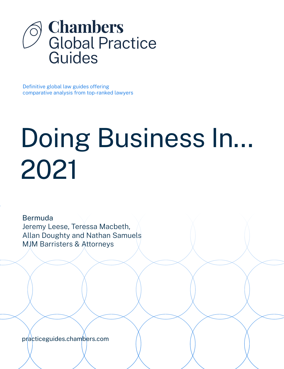

Definitive global law guides offering comparative analysis from top-ranked lawyers

# Doing Business In... 2021

Bermuda Jeremy Leese, Teressa Macbeth, Allan Doughty and Nathan Samuels MJM Barristers & Attorneys

[practiceguides.chambers.com](http://practiceguides.chambers.com)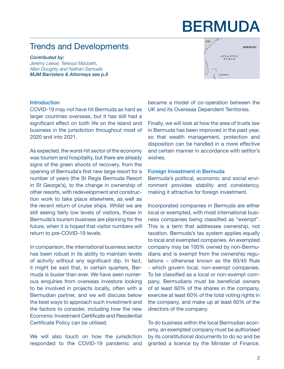# BERMUDA

### Trends and Developments

*Contributed by: Jeremy Leese, Teressa Macbeth, Allan Doughty and Nathan Samuels MJM Barristers & Attorneys [see p.8](#page-7-0)*



#### Introduction

COVID-19 may not have hit Bermuda as hard as larger countries overseas, but it has still had a significant effect on both life on the island and business in the jurisdiction throughout most of 2020 and into 2021.

As expected, the worst-hit sector of the economy was tourism and hospitality, but there are already signs of the green shoots of recovery, from the opening of Bermuda's first new large resort for a number of years (the St Regis Bermuda Resort in St George's), to the change in ownership of other resorts, with redevelopment and construction work to take place elsewhere, as well as the recent return of cruise ships. Whilst we are still seeing fairly low levels of visitors, those in Bermuda's tourism business are planning for the future, when it is hoped that visitor numbers will return to pre-COVID-19 levels.

In comparison, the international business sector has been robust in its ability to maintain levels of activity without any significant dip. In fact, it might be said that, in certain quarters, Bermuda is busier than ever. We have seen numerous enquiries from overseas investors looking to be involved in projects locally, often with a Bermudian partner, and we will discuss below the best ways to approach such investment and the factors to consider, including how the new Economic Investment Certificate and Residential Certificate Policy can be utilised.

We will also touch on how the jurisdiction responded to the COVID-19 pandemic and

became a model of co-operation between the UK and its Overseas Dependent Territories.

Finally, we will look at how the area of trusts law in Bermuda has been improved in the past year, so that wealth management, protection and disposition can be handled in a more effective and certain manner in accordance with settlor's wishes.

#### Foreign Investment in Bermuda

Bermuda's political, economic and social environment provides stability and consistency, making it attractive for foreign investment.

Incorporated companies in Bermuda are either local or exempted, with most international business companies being classified as "exempt". This is a term that addresses ownership, not taxation. Bermuda's tax system applies equally to local and exempted companies. An exempted company may be 100% owned by non-Bermudians and is exempt from the ownership regulations – otherwise known as the 60/40 Rule - which govern local, non-exempt companies. To be classified as a local or non-exempt company, Bermudians must be beneficial owners of at least 60% of the shares in the company, exercise at least 60% of the total voting rights in the company, and make up at least 60% of the directors of the company.

To do business within the local Bermudian economy, an exempted company must be authorised by its constitutional documents to do so and be granted a licence by the Minister of Finance.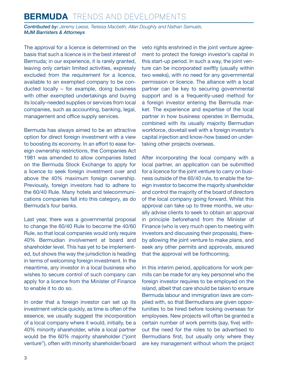*Contributed by: Jeremy Leese, Teressa Macbeth, Allan Doughty and Nathan Samuels, MJM Barristers & Attorneys*

The approval for a licence is determined on the basis that such a licence is in the best interest of Bermuda; in our experience, it is rarely granted, leaving only certain limited activities, expressly excluded from the requirement for a licence, available to an exempted company to be conducted locally – for example, doing business with other exempted undertakings and buying its locally-needed supplies or services from local companies, such as accounting, banking, legal, management and office supply services.

Bermuda has always aimed to be an attractive option for direct foreign investment with a view to boosting its economy. In an effort to ease foreign ownership restrictions, the Companies Act 1981 was amended to allow companies listed on the Bermuda Stock Exchange to apply for a licence to seek foreign investment over and above the 40% maximum foreign ownership. Previously, foreign investors had to adhere to the 60/40 Rule. Many hotels and telecommunications companies fall into this category, as do Bermuda's four banks.

Last year, there was a governmental proposal to change the 60/40 Rule to become the 40/60 Rule, so that local companies would only require 40% Bermudian involvement at board and shareholder level. This has yet to be implemented, but shows the way the jurisdiction is heading in terms of welcoming foreign investment. In the meantime, any investor in a local business who wishes to secure control of such company can apply for a licence from the Minister of Finance to enable it to do so.

In order that a foreign investor can set up its investment vehicle quickly, as time is often of the essence, we usually suggest the incorporation of a local company where it would, initially, be a 40% minority shareholder, while a local partner would be the 60% majority shareholder ("joint venture"), often with minority shareholder/board veto rights enshrined in the joint venture agreement to protect the foreign investor's capital in this start-up period. In such a way, the joint venture can be incorporated swiftly (usually within two weeks), with no need for any governmental permission or licence. The alliance with a local partner can be key to securing governmental support and is a frequently-used method for a foreign investor entering the Bermuda market. The experience and expertise of the local partner in how business operates in Bermuda, combined with its usually majority Bermudian workforce, dovetail well with a foreign investor's capital injection and know-how based on undertaking other projects overseas.

After incorporating the local company with a local partner, an application can be submitted for a licence for the joint venture to carry on business outside of the 60/40 rule, to enable the foreign investor to become the majority shareholder and control the majority of the board of directors of the local company going forward. Whilst this approval can take up to three months, we usually advise clients to seek to obtain an approval in principle beforehand from the Minister of Finance (who is very much open to meeting with investors and discussing their proposals), thereby allowing the joint venture to make plans, and seek any other permits and approvals, assured that the approval will be forthcoming.

In this interim period, applications for work permits can be made for any key personnel who the foreign investor requires to be employed on the island, albeit that care should be taken to ensure Bermuda labour and immigration laws are complied with, so that Bermudians are given opportunities to be hired before looking overseas for employees. New projects will often be granted a certain number of work permits (say, five) without the need for the roles to be advertised to Bermudians first, but usually only where they are key management without whom the project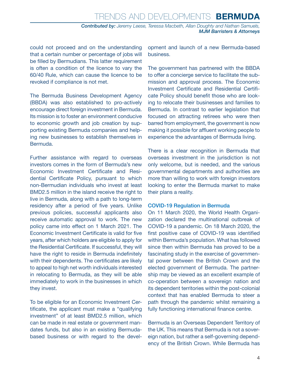could not proceed and on the understanding that a certain number or percentage of jobs will be filled by Bermudians. This latter requirement is often a condition of the licence to vary the 60/40 Rule, which can cause the licence to be revoked if compliance is not met.

The Bermuda Business Development Agency (BBDA) was also established to pro-actively encourage direct foreign investment in Bermuda. Its mission is to foster an environment conducive to economic growth and job creation by supporting existing Bermuda companies and helping new businesses to establish themselves in Bermuda.

Further assistance with regard to overseas investors comes in the form of Bermuda's new Economic Investment Certificate and Residential Certificate Policy, pursuant to which non-Bermudian individuals who invest at least BMD2.5 million in the island receive the right to live in Bermuda, along with a path to long-term residency after a period of five years. Unlike previous policies, successful applicants also receive automatic approval to work. The new policy came into effect on 1 March 2021. The Economic Investment Certificate is valid for five years, after which holders are eligible to apply for the Residential Certificate. If successful, they will have the right to reside in Bermuda indefinitely with their dependents. The certificates are likely to appeal to high net worth individuals interested in relocating to Bermuda, as they will be able immediately to work in the businesses in which they invest.

To be eligible for an Economic Investment Certificate, the applicant must make a "qualifying investment" of at least BMD2.5 million, which can be made in real estate or government mandates funds, but also in an existing Bermudabased business or with regard to the development and launch of a new Bermuda-based business.

The government has partnered with the BBDA to offer a concierge service to facilitate the submission and approval process. The Economic Investment Certificate and Residential Certificate Policy should benefit those who are looking to relocate their businesses and families to Bermuda. In contrast to earlier legislation that focused on attracting retirees who were then barred from employment, the government is now making it possible for affluent working people to experience the advantages of Bermuda living.

There is a clear recognition in Bermuda that overseas investment in the jurisdiction is not only welcome, but is needed, and the various governmental departments and authorities are more than willing to work with foreign investors looking to enter the Bermuda market to make their plans a reality.

#### COVID-19 Regulation in Bermuda

On 11 March 2020, the World Health Organization declared the multinational outbreak of COVID-19 a pandemic. On 18 March 2020, the first positive case of COVID-19 was identified within Bermuda's population. What has followed since then within Bermuda has proved to be a fascinating study in the exercise of governmental power between the British Crown and the elected government of Bermuda. The partnership may be viewed as an excellent example of co-operation between a sovereign nation and its dependent territories within the post-colonial context that has enabled Bermuda to steer a path through the pandemic whilst remaining a fully functioning international finance centre.

Bermuda is an Overseas Dependent Territory of the UK. This means that Bermuda is not a sovereign nation, but rather a self-governing dependency of the British Crown. While Bermuda has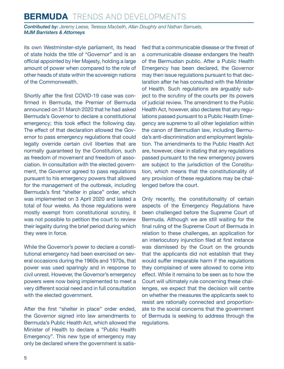*Contributed by: Jeremy Leese, Teressa Macbeth, Allan Doughty and Nathan Samuels, MJM Barristers & Attorneys*

its own Westminster-style parliament, its head of state holds the title of "Governor" and is an official appointed by Her Majesty, holding a large amount of power when compared to the role of other heads of state within the sovereign nations of the Commonwealth.

Shortly after the first COVID-19 case was confirmed in Bermuda, the Premier of Bermuda announced on 31 March 2020 that he had asked Bermuda's Governor to declare a constitutional emergency; this took effect the following day. The effect of that declaration allowed the Governor to pass emergency regulations that could legally override certain civil liberties that are normally guaranteed by the Constitution, such as freedom of movement and freedom of association. In consultation with the elected government, the Governor agreed to pass regulations pursuant to his emergency powers that allowed for the management of the outbreak, including Bermuda's first "shelter in place" order, which was implemented on 3 April 2020 and lasted a total of four weeks. As those regulations were mostly exempt from constitutional scrutiny, it was not possible to petition the court to review their legality during the brief period during which they were in force.

While the Governor's power to declare a constitutional emergency had been exercised on several occasions during the 1960s and 1970s, that power was used sparingly and in response to civil unrest. However, the Governor's emergency powers were now being implemented to meet a very different social need and in full consultation with the elected government.

After the first "shelter in place" order ended, the Governor signed into law amendments to Bermuda's Public Health Act, which allowed the Minister of Health to declare a "Public Health Emergency". This new type of emergency may only be declared where the government is satisfied that a communicable disease or the threat of a communicable disease endangers the health of the Bermudian public. After a Public Health Emergency has been declared, the Governor may then issue regulations pursuant to that declaration after he has consulted with the Minister of Health. Such regulations are arguably subject to the scrutiny of the courts per its powers of judicial review. The amendment to the Public Health Act, however, also declares that any regulations passed pursuant to a Public Health Emergency are supreme to all other legislation within the canon of Bermudian law, including Bermuda's anti-discrimination and employment legislation. The amendments to the Public Health Act are, however, clear in stating that any regulations passed pursuant to the new emergency powers are subject to the jurisdiction of the Constitution, which means that the constitutionality of any provision of these regulations may be challenged before the court.

Only recently, the constitutionality of certain aspects of the Emergency Regulations have been challenged before the Supreme Court of Bermuda. Although we are still waiting for the final ruling of the Supreme Court of Bermuda in relation to these challenges, an application for an interlocutory injunction filed at first instance was dismissed by the Court on the grounds that the applicants did not establish that they would suffer irreparable harm if the regulations they complained of were allowed to come into effect. While it remains to be seen as to how the Court will ultimately rule concerning these challenges, we expect that the decision will centre on whether the measures the applicants seek to resist are rationally connected and proportionate to the social concerns that the government of Bermuda is seeking to address through the regulations.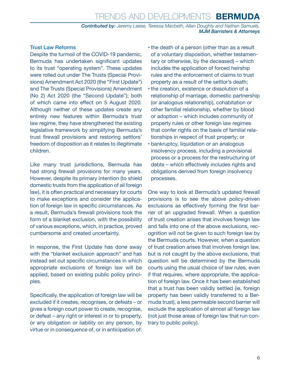*Contributed by: Jeremy Leese, Teressa Macbeth, Allan Doughty and Nathan Samuels, MJM Barristers & Attorneys*

#### Trust Law Reforms

Despite the turmoil of the COVID-19 pandemic, Bermuda has undertaken significant updates to its trust "operating system". These updates were rolled out under The Trusts (Special Provisions) Amendment Act 2020 (the "First Update") and The Trusts (Special Provisions) Amendment (No 2) Act 2020 (the "Second Update"); both of which came into effect on 5 August 2020. Although neither of these updates create any entirely new features within Bermuda's trust law regime, they have strengthened the existing legislative framework by simplifying Bermuda's trust firewall provisions and restoring settlors' freedom of disposition as it relates to illegitimate children.

Like many trust jurisdictions, Bermuda has had strong firewall provisions for many years. However, despite its primary intention (to shield domestic trusts from the application of all foreign law), it is often practical and necessary for courts to make exceptions and consider the application of foreign law in specific circumstances. As a result, Bermuda's firewall provisions took the form of a blanket exclusion, with the possibility of various exceptions, which, in practice, proved cumbersome and created uncertainty.

In response, the First Update has done away with the "blanket exclusion approach" and has instead set out specific circumstances in which appropriate exclusions of foreign law will be applied, based on existing public policy principles.

Specifically, the application of foreign law will be excluded if it creates, recognises, or defeats – or gives a foreign court power to create, recognise, or defeat – any right or interest in or to property, or any obligation or liability on any person, by virtue or in consequence of, or in anticipation of:

- the death of a person (other than as a result of a voluntary disposition, whether testamentary or otherwise, by the deceased) – which includes the application of forced heirship rules and the enforcement of claims to trust property as a result of the settlor's death;
- the creation, existence or dissolution of a relationship of marriage, domestic partnership (or analogous relationship), cohabitation or other familial relationship, whether by blood or adoption – which includes community of property rules or other foreign law regimes that confer rights on the basis of familial relationships in respect of trust property; or
- bankruptcy, liquidation or an analogous insolvency process, including a provisional process or a process for the restructuring of debts – which effectively includes rights and obligations derived from foreign insolvency processes.

One way to look at Bermuda's updated firewall provisions is to see the above policy-driven exclusions as effectively forming the first barrier of an upgraded firewall. When a question of trust creation arises that involves foreign law and falls into one of the above exclusions, recognition will not be given to such foreign law by the Bermuda courts. However, when a question of trust creation arises that involves foreign law, but is not caught by the above exclusions, that question will be determined by the Bermuda courts using the usual choice of law rules, even if that requires, where appropriate, the application of foreign law. Once it has been established that a trust has been validly settled (ie, foreign property has been validly transferred to a Bermuda trust), a less permeable second barrier will exclude the application of almost all foreign law (not just those areas of foreign law that run contrary to public policy).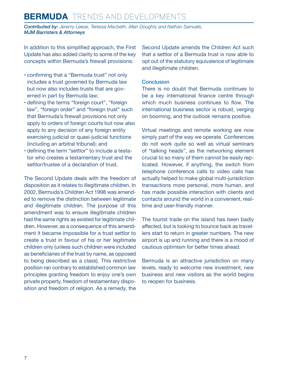*Contributed by: Jeremy Leese, Teressa Macbeth, Allan Doughty and Nathan Samuels, MJM Barristers & Attorneys*

In addition to this simplified approach, the First Update has also added clarity to some of the key concepts within Bermuda's firewall provisions:

- confirming that a "Bermuda trust" not only includes a trust governed by Bermuda law but now also includes trusts that are governed in part by Bermuda law;
- defining the terms "foreign court", "foreign law", "foreign order" and "foreign trust" such that Bermuda's firewall provisions not only apply to orders of foreign courts but now also apply to any decision of any foreign entity exercising judicial or quasi-judicial functions (including an arbitral tribunal); and
- defining the term "settlor" to include a testator who creates a testamentary trust and the settlor/trustee of a declaration of trust.

The Second Update deals with the freedom of disposition as it relates to illegitimate children. In 2002, Bermuda's Children Act 1998 was amended to remove the distinction between legitimate and illegitimate children. The purpose of this amendment was to ensure illegitimate children had the same rights as existed for legitimate children. However, as a consequence of this amendment it became impossible for a trust settlor to create a trust in favour of his or her legitimate children only (unless such children were included as beneficiaries of the trust by name, as opposed to being described as a class). This restrictive position ran contrary to established common law principles granting freedom to enjoy one's own private property, freedom of testamentary disposition and freedom of religion. As a remedy, the Second Update amends the Children Act such that a settlor of a Bermuda trust is now able to opt out of the statutory equivalence of legitimate and illegitimate children.

#### **Conclusion**

There is no doubt that Bermuda continues to be a key international finance centre through which much business continues to flow. The international business sector is robust, verging on booming, and the outlook remains positive.

Virtual meetings and remote working are now simply part of the way we operate. Conferences do not work quite so well as virtual seminars of "talking heads", as the networking element crucial to so many of them cannot be easily replicated. However, if anything, the switch from telephone conference calls to video calls has actually helped to make global multi-jurisdiction transactions more personal, more human, and has made possible interaction with clients and contacts around the world in a convenient, realtime and user-friendly manner.

The tourist trade on the island has been badly affected, but is looking to bounce back as travellers start to return in greater numbers. The new airport is up and running and there is a mood of cautious optimism for better times ahead.

Bermuda is an attractive jurisdiction on many levels, ready to welcome new investment, new business and new visitors as the world begins to reopen for business.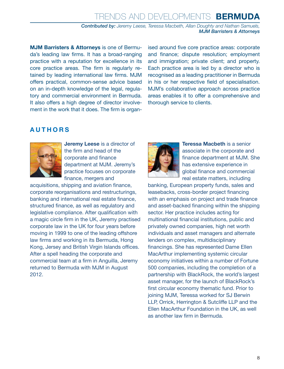#### Trends and Developments **BERMUDA** *Contributed by: Jeremy Leese, Teressa Macbeth, Allan Doughty and Nathan Samuels, MJM Barristers & Attorneys*

**MJM Barristers & Attorneys** is one of Bermuda's leading law firms. It has a broad-ranging practice with a reputation for excellence in its core practice areas. The firm is regularly retained by leading international law firms. MJM offers practical, common-sense advice based on an in-depth knowledge of the legal, regulatory and commercial environment in Bermuda. It also offers a high degree of director involvement in the work that it does. The firm is organised around five core practice areas: corporate and finance; dispute resolution; employment and immigration; private client; and property. Each practice area is led by a director who is recognised as a leading practitioner in Bermuda in his or her respective field of specialisation. MJM's collaborative approach across practice areas enables it to offer a comprehensive and thorough service to clients.

#### <span id="page-7-0"></span>**AUTHORS**



**Jeremy Leese** is a director of the firm and head of the corporate and finance department at MJM. Jeremy's practice focuses on corporate finance, mergers and

acquisitions, shipping and aviation finance, corporate reorganisations and restructurings, banking and international real estate finance, structured finance, as well as regulatory and legislative compliance. After qualification with a magic circle firm in the UK, Jeremy practised corporate law in the UK for four years before moving in 1999 to one of the leading offshore law firms and working in its Bermuda, Hong Kong, Jersey and British Virgin Islands offices. After a spell heading the corporate and commercial team at a firm in Anguilla, Jeremy returned to Bermuda with MJM in August 2012.



**Teressa Macbeth** is a senior associate in the corporate and finance department at MJM. She has extensive experience in global finance and commercial real estate matters, including

banking, European property funds, sales and leasebacks, cross-border project financing with an emphasis on project and trade finance and asset-backed financing within the shipping sector. Her practice includes acting for multinational financial institutions, public and privately owned companies, high net worth individuals and asset managers and alternate lenders on complex, multidisciplinary financings. She has represented Dame Ellen MacArthur implementing systemic circular economy initiatives within a number of Fortune 500 companies, including the completion of a partnership with BlackRock, the world's largest asset manager, for the launch of BlackRock's first circular economy thematic fund. Prior to joining MJM, Teressa worked for SJ Berwin LLP, Orrick, Herrington & Sutcliffe LLP and the Ellen MacArthur Foundation in the UK, as well as another law firm in Bermuda.